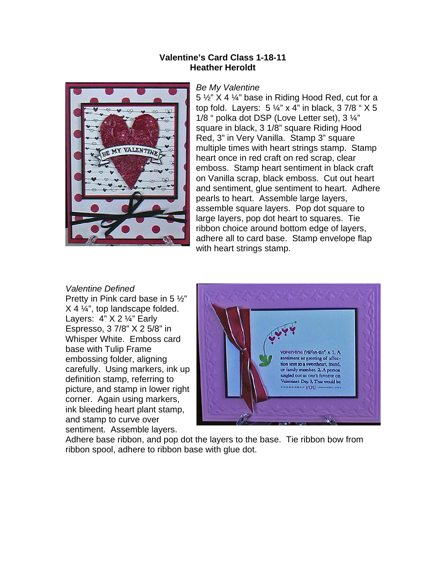## **Valentine's Card Class 1-18-11 Heather Heroldt**



## *Be My Valentine*

5 ½" X 4 ¼" base in Riding Hood Red, cut for a top fold. Layers:  $5\frac{1}{4}$ " x 4" in black, 37/8 " X 5 1/8 " polka dot DSP (Love Letter set), 3 ¼" square in black, 3 1/8" square Riding Hood Red, 3" in Very Vanilla. Stamp 3" square multiple times with heart strings stamp. Stamp heart once in red craft on red scrap, clear emboss. Stamp heart sentiment in black craft on Vanilla scrap, black emboss. Cut out heart and sentiment, glue sentiment to heart. Adhere pearls to heart. Assemble large layers, assemble square layers. Pop dot square to large layers, pop dot heart to squares. Tie ribbon choice around bottom edge of layers, adhere all to card base. Stamp envelope flap with heart strings stamp.

## *Valentine Defined*

Pretty in Pink card base in 5 ½" X 4 ¼", top landscape folded. Layers: 4" X 2 ¼" Early Espresso, 3 7/8" X 2 5/8" in Whisper White. Emboss card base with Tulip Frame embossing folder, aligning carefully. Using markers, ink up definition stamp, referring to picture, and stamp in lower right corner. Again using markers, ink bleeding heart plant stamp, and stamp to curve over sentiment. Assemble layers.



Adhere base ribbon, and pop dot the layers to the base. Tie ribbon bow from ribbon spool, adhere to ribbon base with glue dot.